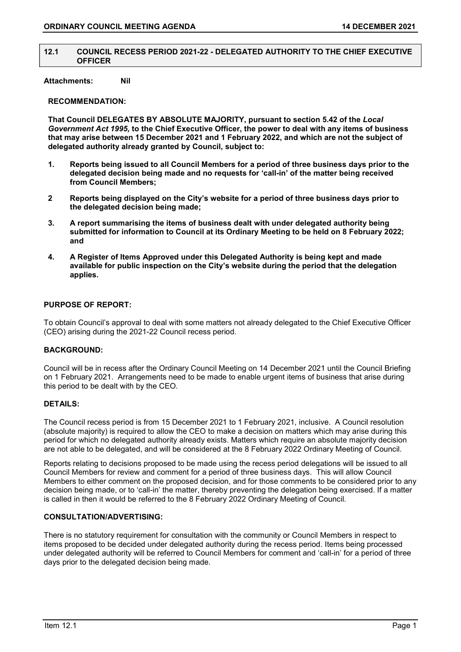#### 12.1 COUNCIL RECESS PERIOD 2021-22 - DELEGATED AUTHORITY TO THE CHIEF EXECUTIVE **OFFICER**

## Attachments: Nil

# RECOMMENDATION:

That Council DELEGATES BY ABSOLUTE MAJORITY, pursuant to section 5.42 of the Local Government Act 1995, to the Chief Executive Officer, the power to deal with any items of business that may arise between 15 December 2021 and 1 February 2022, and which are not the subject of delegated authority already granted by Council, subject to:

- 1. Reports being issued to all Council Members for a period of three business days prior to the delegated decision being made and no requests for 'call-in' of the matter being received from Council Members;
- 2 Reports being displayed on the City's website for a period of three business days prior to the delegated decision being made;
- 3. A report summarising the items of business dealt with under delegated authority being submitted for information to Council at its Ordinary Meeting to be held on 8 February 2022; and
- 4. A Register of Items Approved under this Delegated Authority is being kept and made available for public inspection on the City's website during the period that the delegation applies.

### PURPOSE OF REPORT:

To obtain Council's approval to deal with some matters not already delegated to the Chief Executive Officer (CEO) arising during the 2021-22 Council recess period.

### BACKGROUND:

Council will be in recess after the Ordinary Council Meeting on 14 December 2021 until the Council Briefing on 1 February 2021. Arrangements need to be made to enable urgent items of business that arise during this period to be dealt with by the CEO.

#### DETAILS:

The Council recess period is from 15 December 2021 to 1 February 2021, inclusive. A Council resolution (absolute majority) is required to allow the CEO to make a decision on matters which may arise during this period for which no delegated authority already exists. Matters which require an absolute majority decision are not able to be delegated, and will be considered at the 8 February 2022 Ordinary Meeting of Council.

Reports relating to decisions proposed to be made using the recess period delegations will be issued to all Council Members for review and comment for a period of three business days. This will allow Council Members to either comment on the proposed decision, and for those comments to be considered prior to any decision being made, or to 'call-in' the matter, thereby preventing the delegation being exercised. If a matter is called in then it would be referred to the 8 February 2022 Ordinary Meeting of Council.

#### CONSULTATION/ADVERTISING:

There is no statutory requirement for consultation with the community or Council Members in respect to items proposed to be decided under delegated authority during the recess period. Items being processed under delegated authority will be referred to Council Members for comment and 'call-in' for a period of three days prior to the delegated decision being made.